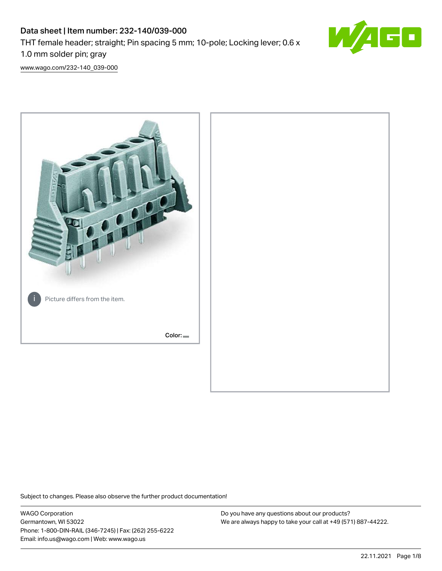# Data sheet | Item number: 232-140/039-000 THT female header; straight; Pin spacing 5 mm; 10-pole; Locking lever; 0.6 x 1.0 mm solder pin; gray



[www.wago.com/232-140\\_039-000](http://www.wago.com/232-140_039-000)



Subject to changes. Please also observe the further product documentation!

WAGO Corporation Germantown, WI 53022 Phone: 1-800-DIN-RAIL (346-7245) | Fax: (262) 255-6222 Email: info.us@wago.com | Web: www.wago.us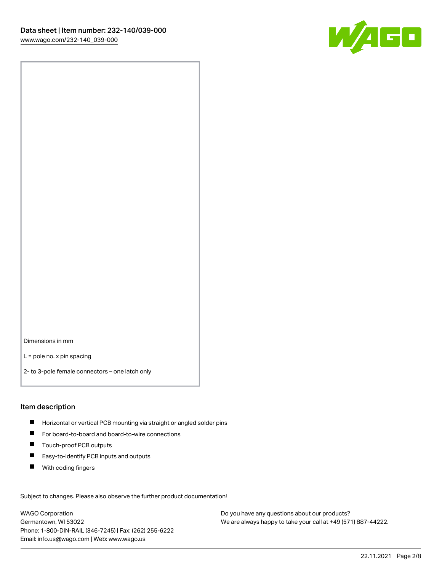

Dimensions in mm

L = pole no. x pin spacing

2- to 3-pole female connectors – one latch only

#### Item description

- **H** Horizontal or vertical PCB mounting via straight or angled solder pins
- For board-to-board and board-to-wire connections
- Touch-proof PCB outputs  $\blacksquare$
- $\blacksquare$ Easy-to-identify PCB inputs and outputs
- $\blacksquare$ With coding fingers

Subject to changes. Please also observe the further product documentation! Data

WAGO Corporation Germantown, WI 53022 Phone: 1-800-DIN-RAIL (346-7245) | Fax: (262) 255-6222 Email: info.us@wago.com | Web: www.wago.us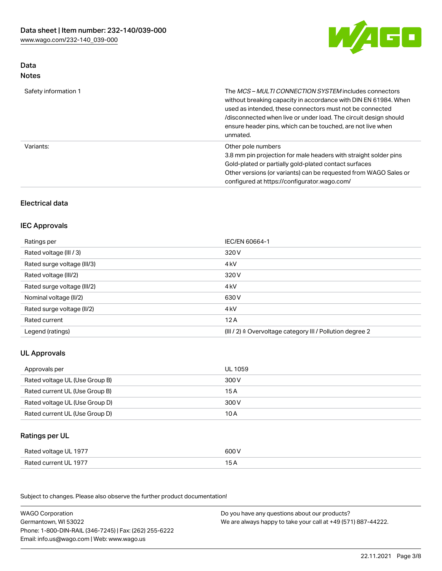

# Data Notes

| Safety information 1 | The <i>MCS – MULTI CONNECTION SYSTEM</i> includes connectors<br>without breaking capacity in accordance with DIN EN 61984. When<br>used as intended, these connectors must not be connected<br>/disconnected when live or under load. The circuit design should<br>ensure header pins, which can be touched, are not live when<br>unmated. |
|----------------------|--------------------------------------------------------------------------------------------------------------------------------------------------------------------------------------------------------------------------------------------------------------------------------------------------------------------------------------------|
| Variants:            | Other pole numbers<br>3.8 mm pin projection for male headers with straight solder pins<br>Gold-plated or partially gold-plated contact surfaces<br>Other versions (or variants) can be requested from WAGO Sales or<br>configured at https://configurator.wago.com/                                                                        |

# Electrical data

## IEC Approvals

| Ratings per                 | IEC/EN 60664-1                                                        |
|-----------------------------|-----------------------------------------------------------------------|
| Rated voltage (III / 3)     | 320 V                                                                 |
| Rated surge voltage (III/3) | 4 <sub>k</sub> V                                                      |
| Rated voltage (III/2)       | 320 V                                                                 |
| Rated surge voltage (III/2) | 4 <sub>k</sub> V                                                      |
| Nominal voltage (II/2)      | 630 V                                                                 |
| Rated surge voltage (II/2)  | 4 <sub>k</sub> V                                                      |
| Rated current               | 12A                                                                   |
| Legend (ratings)            | $(III / 2)$ $\triangle$ Overvoltage category III / Pollution degree 2 |

# UL Approvals

| Approvals per                  | UL 1059 |
|--------------------------------|---------|
| Rated voltage UL (Use Group B) | 300 V   |
| Rated current UL (Use Group B) | 15 A    |
| Rated voltage UL (Use Group D) | 300 V   |
| Rated current UL (Use Group D) | 10 A    |

# Ratings per UL

| Rated voltage UL 1977 | 600 V |
|-----------------------|-------|
| Rated current UL 1977 |       |

Subject to changes. Please also observe the further product documentation!

| <b>WAGO Corporation</b>                                | Do you have any questions about our products?                 |
|--------------------------------------------------------|---------------------------------------------------------------|
| Germantown, WI 53022                                   | We are always happy to take your call at +49 (571) 887-44222. |
| Phone: 1-800-DIN-RAIL (346-7245)   Fax: (262) 255-6222 |                                                               |
| Email: info.us@wago.com   Web: www.wago.us             |                                                               |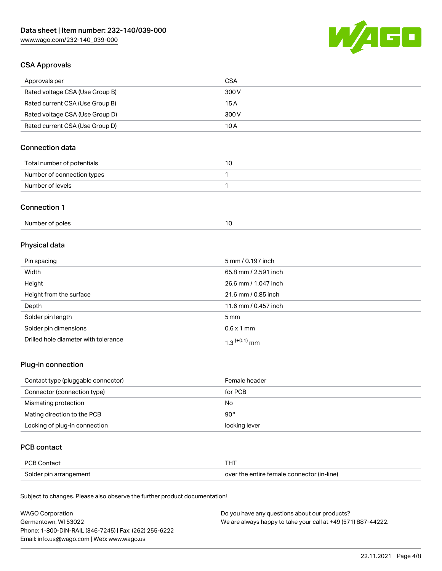

# CSA Approvals

| Approvals per                   | CSA   |
|---------------------------------|-------|
| Rated voltage CSA (Use Group B) | 300 V |
| Rated current CSA (Use Group B) | 15 A  |
| Rated voltage CSA (Use Group D) | 300 V |
| Rated current CSA (Use Group D) | 10 A  |

# Connection data

| Total number of potentials |  |
|----------------------------|--|
| Number of connection types |  |
| Number of levels           |  |

#### Connection 1

| Number of poles |  |
|-----------------|--|
|                 |  |

# Physical data

| Pin spacing                          | 5 mm / 0.197 inch    |
|--------------------------------------|----------------------|
| Width                                | 65.8 mm / 2.591 inch |
| Height                               | 26.6 mm / 1.047 inch |
| Height from the surface              | 21.6 mm / 0.85 inch  |
| Depth                                | 11.6 mm / 0.457 inch |
| Solder pin length                    | $5 \text{ mm}$       |
| Solder pin dimensions                | $0.6 \times 1$ mm    |
| Drilled hole diameter with tolerance | $1.3$ $(+0.1)$ mm    |

## Plug-in connection

| Contact type (pluggable connector) | Female header |
|------------------------------------|---------------|
| Connector (connection type)        | for PCB       |
| Mismating protection               | No            |
| Mating direction to the PCB        | 90 $^{\circ}$ |
| Locking of plug-in connection      | locking lever |

## PCB contact

| PCB Contact            | тнт                                        |
|------------------------|--------------------------------------------|
| Solder pin arrangement | over the entire female connector (in-line) |

Subject to changes. Please also observe the further product documentation!

| <b>WAGO Corporation</b>                                | Do you have any questions about our products?                 |  |
|--------------------------------------------------------|---------------------------------------------------------------|--|
| Germantown, WI 53022                                   | We are always happy to take your call at +49 (571) 887-44222. |  |
| Phone: 1-800-DIN-RAIL (346-7245)   Fax: (262) 255-6222 |                                                               |  |
| Email: info.us@wago.com   Web: www.wago.us             |                                                               |  |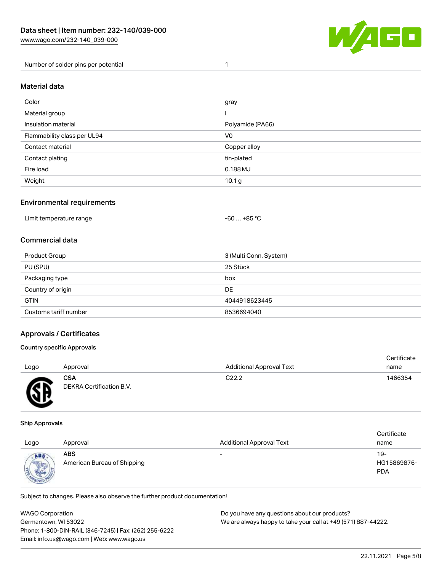

Number of solder pins per potential 1

#### Material data

| Color                       | gray              |
|-----------------------------|-------------------|
| Material group              |                   |
| Insulation material         | Polyamide (PA66)  |
| Flammability class per UL94 | V <sub>0</sub>    |
| Contact material            | Copper alloy      |
| Contact plating             | tin-plated        |
| Fire load                   | 0.188 MJ          |
| Weight                      | 10.1 <sub>g</sub> |

#### Environmental requirements

| Limit temperature range | . +85 °C<br>-60 |  |
|-------------------------|-----------------|--|
|-------------------------|-----------------|--|

## Commercial data

| Product Group         | 3 (Multi Conn. System) |
|-----------------------|------------------------|
| PU (SPU)              | 25 Stück               |
| Packaging type        | box                    |
| Country of origin     | DE                     |
| <b>GTIN</b>           | 4044918623445          |
| Customs tariff number | 8536694040             |

## Approvals / Certificates

#### Country specific Approvals

| Logo      | Approval                                      | <b>Additional Approval Text</b> | Certificate<br>name |
|-----------|-----------------------------------------------|---------------------------------|---------------------|
| <b>AR</b> | <b>CSA</b><br><b>DEKRA Certification B.V.</b> | C <sub>22.2</sub>               | 1466354             |

#### Ship Approvals

w

| Logo | Approval                           | <b>Additional Approval Text</b> | Certificate<br>name              |
|------|------------------------------------|---------------------------------|----------------------------------|
| ABS  | ABS<br>American Bureau of Shipping | $\overline{\phantom{a}}$        | 19-<br>HG15869876-<br><b>PDA</b> |

Subject to changes. Please also observe the further product documentation!

| WAGO Corporation                                       | Do you have any questions about our products?                 |
|--------------------------------------------------------|---------------------------------------------------------------|
| Germantown, WI 53022                                   | We are always happy to take your call at +49 (571) 887-44222. |
| Phone: 1-800-DIN-RAIL (346-7245)   Fax: (262) 255-6222 |                                                               |
| Email: info.us@wago.com   Web: www.wago.us             |                                                               |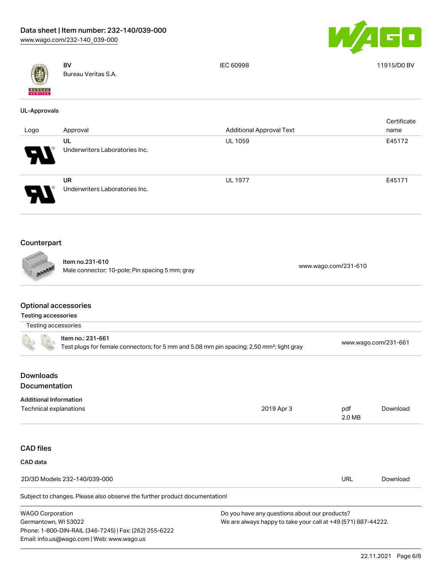Phone: 1-800-DIN-RAIL (346-7245) | Fax: (262) 255-6222

Email: info.us@wago.com | Web: www.wago.us



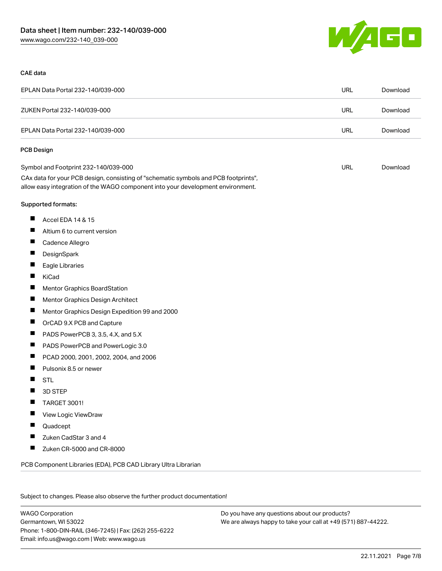

#### CAE data

| EPLAN Data Portal 232-140/039-000                                                                                                                                      | <b>URL</b> | Download |
|------------------------------------------------------------------------------------------------------------------------------------------------------------------------|------------|----------|
| ZUKEN Portal 232-140/039-000                                                                                                                                           | <b>URL</b> | Download |
| EPLAN Data Portal 232-140/039-000                                                                                                                                      | URL        | Download |
| <b>PCB Design</b>                                                                                                                                                      |            |          |
| Symbol and Footprint 232-140/039-000                                                                                                                                   | URL        | Download |
| CAx data for your PCB design, consisting of "schematic symbols and PCB footprints",<br>allow easy integration of the WAGO component into your development environment. |            |          |
| Supported formats:                                                                                                                                                     |            |          |
| ш<br>Accel EDA 14 & 15                                                                                                                                                 |            |          |
| ш<br>Altium 6 to current version                                                                                                                                       |            |          |
| Ш<br>Cadence Allegro                                                                                                                                                   |            |          |
| ш<br>DesignSpark                                                                                                                                                       |            |          |
| П<br>Eagle Libraries                                                                                                                                                   |            |          |
| П<br>KiCad                                                                                                                                                             |            |          |
| Ц<br>Mentor Graphics BoardStation                                                                                                                                      |            |          |
| ш<br>Mentor Graphics Design Architect                                                                                                                                  |            |          |
| ш<br>Mentor Graphics Design Expedition 99 and 2000                                                                                                                     |            |          |
| Ц<br>OrCAD 9.X PCB and Capture                                                                                                                                         |            |          |
| Ш<br>PADS PowerPCB 3, 3.5, 4.X, and 5.X                                                                                                                                |            |          |
| ш<br>PADS PowerPCB and PowerLogic 3.0                                                                                                                                  |            |          |
| ш<br>PCAD 2000, 2001, 2002, 2004, and 2006                                                                                                                             |            |          |
| ш<br>Pulsonix 8.5 or newer                                                                                                                                             |            |          |
| <b>STL</b>                                                                                                                                                             |            |          |
| 3D STEP                                                                                                                                                                |            |          |
| ш<br><b>TARGET 3001!</b>                                                                                                                                               |            |          |
| ш<br>View Logic ViewDraw                                                                                                                                               |            |          |
| Quadcept                                                                                                                                                               |            |          |
| Zuken CadStar 3 and 4                                                                                                                                                  |            |          |
| П<br>Zuken CR-5000 and CR-8000                                                                                                                                         |            |          |
| PCB Component Libraries (EDA), PCB CAD Library Ultra Librarian                                                                                                         |            |          |

Subject to changes. Please also observe the further product documentation!

WAGO Corporation Germantown, WI 53022 Phone: 1-800-DIN-RAIL (346-7245) | Fax: (262) 255-6222 Email: info.us@wago.com | Web: www.wago.us